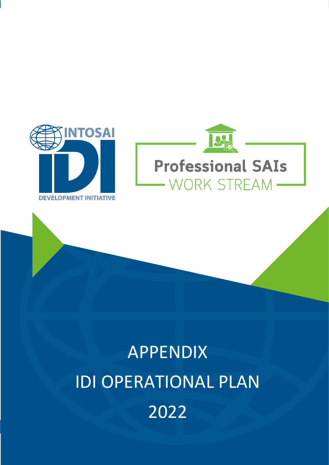



# APPENDIX IDI OPERATIONAL PLAN 2022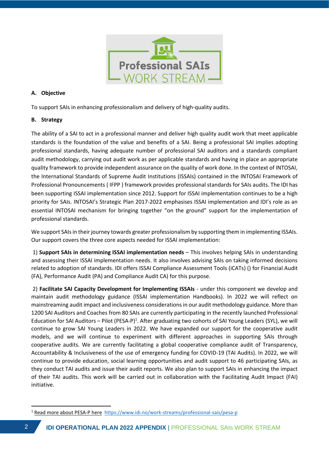

## **A. Objective**

To support SAIs in enhancing professionalism and delivery of high-quality audits.

## **B. Strategy**

The ability of a SAI to act in a professional manner and deliver high quality audit work that meet applicable standards is the foundation of the value and benefits of a SAI. Being a professional SAI implies adopting professional standards, having adequate number of professional SAI auditors and a standards compliant audit methodology, carrying out audit work as per applicable standards and having in place an appropriate quality framework to provide independent assurance on the quality of work done. In the context of INTOSAI, the International Standards of Supreme Audit Institutions (ISSAIs) contained in the INTOSAI Framework of Professional Pronouncements ( IFPP ) framework provides professional standards for SAIs audits. The IDI has been supporting ISSAI implementation since 2012. Support for ISSAI implementation continues to be a high priority for SAIs. INTOSAI's Strategic Plan 2017-2022 emphasises ISSAI implementation and IDI's role as an essential INTOSAI mechanism for bringing together "on the ground" support for the implementation of professional standards.

We support SAIs in their journey towards greater professionalism by supporting them in implementing ISSAIs. Our support covers the three core aspects needed for ISSAI implementation:

1) **Support SAIs in determining ISSAI implementation needs** – This involves helping SAIs in understanding and assessing their ISSAI implementation needs. It also involves advising SAIs on taking informed decisions related to adoption of standards. IDI offers ISSAI Compliance Assessment Tools (iCATs) () for Financial Audit (FA), Performance Audit (PA) and Compliance Audit CA) for this purpose.

2) **Facilitate SAI Capacity Development for Implementing ISSAIs** - under this component we develop and maintain audit methodology guidance (ISSAI implementation Handbooks). In 2022 we will reflect on mainstreaming audit impact and inclusiveness considerations in our audit methodology guidance. More than 1200 SAI Auditors and Coaches from 80 SAIs are currently participating in the recently launched Professional Education for SAI Auditors - Pilot (PESA-P)<sup>1</sup>. After graduating two cohorts of SAI Young Leaders (SYL), we will continue to grow SAI Young Leaders in 2022. We have expanded our support for the cooperative audit models, and we will continue to experiment with different approaches in supporting SAIs through cooperative audits. We are currently facilitating a global cooperative compliance audit of Transparency, Accountability & Inclusiveness of the use of emergency funding for COVID-19 (TAI Audits). In 2022, we will continue to provide education, social learning opportunities and audit support to 46 participating SAIs, as they conduct TAI audits and issue their audit reports. We also plan to support SAIs in enhancing the impact of their TAI audits. This work will be carried out in collaboration with the Facilitating Audit Impact (FAI) initiative.

<sup>&</sup>lt;sup>1</sup> Read more about PESA-P here <https://www.idi.no/work-streams/professional-sais/pesa-p>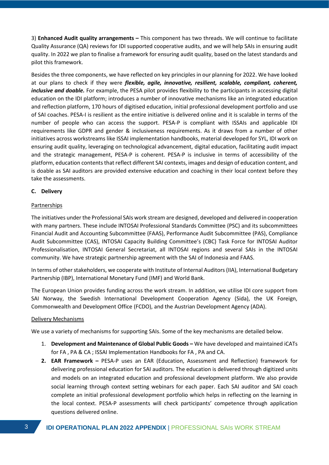3) **Enhanced Audit quality arrangements –** This component has two threads. We will continue to facilitate Quality Assurance (QA) reviews for IDI supported cooperative audits, and we will help SAIs in ensuring audit quality. In 2022 we plan to finalise a framework for ensuring audit quality, based on the latest standards and pilot this framework.

Besides the three components, we have reflected on key principles in our planning for 2022. We have looked at our plans to check if they were *flexible, agile, innovative, resilient, scalable, compliant, coherent, inclusive and doable.* For example, the PESA pilot provides flexibility to the participants in accessing digital education on the IDI platform; introduces a number of innovative mechanisms like an integrated education and reflection platform, 170 hours of digitised education, initial professional development portfolio and use of SAI coaches. PESA-I is resilient as the entire initiative is delivered online and it is scalable in terms of the number of people who can access the support. PESA-P is compliant with ISSAIs and applicable IDI requirements like GDPR and gender & inclusiveness requirements. As it draws from a number of other initiatives across workstreams like ISSAI implementation handbooks, material developed for SYL, IDI work on ensuring audit quality, leveraging on technological advancement, digital education, facilitating audit impact and the strategic management, PESA-P is coherent. PESA-P is inclusive in terms of accessibility of the platform, education contents that reflect different SAI contexts, images and design of education content, and is doable as SAI auditors are provided extensive education and coaching in their local context before they take the assessments.

### **C. Delivery**

### Partnerships

The initiatives under the Professional SAIs work stream are designed, developed and delivered in cooperation with many partners. These include INTOSAI Professional Standards Committee (PSC) and its subcommittees Financial Audit and Accounting Subcommittee (FAAS), Performance Audit Subcommittee (PAS), Compliance Audit Subcommittee (CAS), INTOSAI Capacity Building Committee's (CBC) Task Force for INTOSAI Auditor Professionalisation, INTOSAI General Secretariat, all INTOSAI regions and several SAIs in the INTOSAI community. We have strategic partnership agreement with the SAI of Indonesia and FAAS.

In terms of other stakeholders, we cooperate with Institute of Internal Auditors (IIA), International Budgetary Partnership (IBP), International Monetary Fund (IMF) and World Bank.

The European Union provides funding across the work stream. In addition, we utilise IDI core support from SAI Norway, the Swedish International Development Cooperation Agency (Sida), the UK Foreign, Commonwealth and Development Office (FCDO), and the Austrian Development Agency (ADA).

#### Delivery Mechanisms

We use a variety of mechanisms for supporting SAIs. Some of the key mechanisms are detailed below.

- 1. **Development and Maintenance of Global Public Goods –** We have developed and maintained iCATs for FA , PA & CA ; ISSAI Implementation Handbooks for FA , PA and CA.
- **2. EAR Framework –** PESA-P uses an EAR (Education, Assessment and Reflection) framework for delivering professional education for SAI auditors. The education is delivered through digitized units and models on an integrated education and professional development platform. We also provide social learning through context setting webinars for each paper. Each SAI auditor and SAI coach complete an initial professional development portfolio which helps in reflecting on the learning in the local context. PESA-P assessments will check participants' competence through application questions delivered online.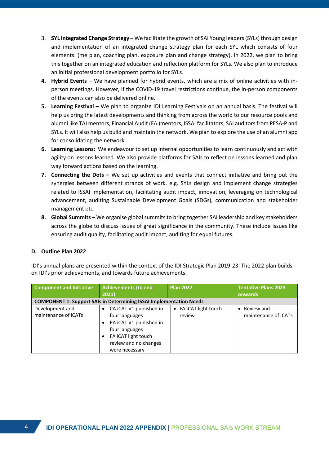- 3. **SYL Integrated Change Strategy –** We facilitate the growth of SAI Young leaders (SYLs) through design and implementation of an integrated change strategy plan for each SYL which consists of four elements: (me plan, coaching plan, exposure plan and change strategy). In 2022, we plan to bring this together on an integrated education and reflection platform for SYLs. We also plan to introduce an initial professional development portfolio for SYLs.
- **4. Hybrid Events** We have planned for hybrid events, which are a mix of online activities with inperson meetings. However, if the COVID-19 travel restrictions continue, the in-person components of the events can also be delivered online.
- **5.** Learning Festival We plan to organize IDI Learning Festivals on an annual basis. The festival will help us bring the latest developments and thinking from across the world to our resource pools and alumni like TAI mentors, Financial Audit (FA )mentors, ISSAI facilitators, SAI auditors from PESA-P and SYLs. It will also help us build and maintain the network. We plan to explore the use of an alumni app for consolidating the network.
- **6. Learning Lessons:** We endeavour to set up internal opportunities to learn continuously and act with agility on lessons learned. We also provide platforms for SAIs to reflect on lessons learned and plan way forward actions based on the learning.
- **7. Connecting the Dots –** We set up activities and events that connect initiative and bring out the synergies between different strands of work. e.g. SYLs design and implement change strategies related to ISSAI implementation, facilitating audit impact, innovation, leveraging on technological advancement, auditing Sustainable Development Goals (SDGs), communication and stakeholder management etc.
- **8. Global Summits –** We organise global summits to bring together SAI leadership and key stakeholders across the globe to discuss issues of great significance in the community. These include issues like ensuring audit quality, facilitating audit impact, auditing for equal futures.

## **D. Outline Plan 2022**

IDI's annual plans are presented within the context of the IDI Strategic Plan 2019-23. The 2022 plan builds on IDI's prior achievements, and towards future achievements.

| <b>Component and Initiative</b>         | Achievements (to end                                                                                                                                     | <b>Plan 2022</b>                | <b>Tentative Plans 2023</b>          |
|-----------------------------------------|----------------------------------------------------------------------------------------------------------------------------------------------------------|---------------------------------|--------------------------------------|
|                                         | 2021)                                                                                                                                                    |                                 | onwards                              |
|                                         | <b>COMPONENT 1: Support SAIs in Determining ISSAI Implementation Needs</b>                                                                               |                                 |                                      |
| Development and<br>maintenance of iCATs | CA iCAT V1 published in<br>four languages<br>PA iCAT V1 published in<br>four languages<br>FA iCAT light touch<br>review and no changes<br>were necessary | • FA iCAT light touch<br>review | • Review and<br>maintenance of iCATs |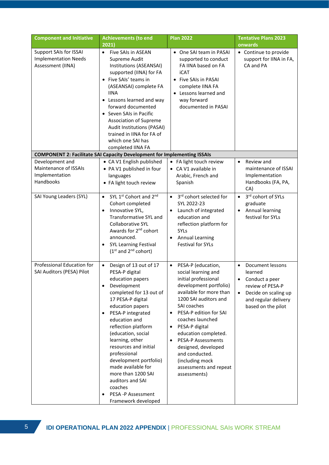| <b>Component and Initiative</b>                                            | <b>Achievements (to end</b><br>2021                                                                                                                                                                                                                                                                                                                                                                                                                                | <b>Plan 2022</b>                                                                                                                                                                                                                                                                                                                                                                                                    | <b>Tentative Plans 2023</b><br>onwards                                                                                                                                         |
|----------------------------------------------------------------------------|--------------------------------------------------------------------------------------------------------------------------------------------------------------------------------------------------------------------------------------------------------------------------------------------------------------------------------------------------------------------------------------------------------------------------------------------------------------------|---------------------------------------------------------------------------------------------------------------------------------------------------------------------------------------------------------------------------------------------------------------------------------------------------------------------------------------------------------------------------------------------------------------------|--------------------------------------------------------------------------------------------------------------------------------------------------------------------------------|
| Support SAIs for ISSAI<br><b>Implementation Needs</b><br>Assessment (IINA) | • Five SAIs in ASEAN<br>Supreme Audit<br>Institutions (ASEANSAI)<br>supported (IINA) for FA<br>• Five SAIs' teams in<br>(ASEANSAI) complete FA<br><b>IINA</b><br>• Lessons learned and way<br>forward documented<br>• Seven SAIs in Pacific<br>Association of Supreme<br>Audit Institutions (PASAI)<br>trained in IINA for FA of<br>which one SAI has<br>completed IINA FA                                                                                         | • One SAI team in PASAI<br>supported to conduct<br>FA IINA based on FA<br><b>iCAT</b><br>• Five SAIs in PASAI<br>complete IINA FA<br>• Lessons learned and<br>way forward<br>documented in PASAI                                                                                                                                                                                                                    | • Continue to provide<br>support for IINA in FA,<br>CA and PA                                                                                                                  |
|                                                                            | <b>COMPONENT 2: Facilitate SAI Capacity Development for Implementing ISSAIs</b>                                                                                                                                                                                                                                                                                                                                                                                    |                                                                                                                                                                                                                                                                                                                                                                                                                     |                                                                                                                                                                                |
| Development and<br>Maintenance of ISSAIs<br>Implementation<br>Handbooks    | • CA V1 English published<br>• PA V1 published in four<br>languages<br>• FA light touch review                                                                                                                                                                                                                                                                                                                                                                     | • FA light touch review<br>• CA V1 available in<br>Arabic, French and<br>Spanish                                                                                                                                                                                                                                                                                                                                    | Review and<br>$\bullet$<br>maintenance of ISSAI<br>Implementation<br>Handbooks (FA, PA,<br>CA)                                                                                 |
| SAI Young Leaders (SYL)                                                    | SYL 1 <sup>st</sup> Cohort and 2 <sup>nd</sup><br>$\bullet$<br>Cohort completed<br>Innovative SYL,<br>$\bullet$<br>Transformative SYL and<br>Collaborative SYL<br>Awards for 2 <sup>nd</sup> cohort<br>announced.<br><b>SYL Learning Festival</b><br>$(1st$ and $2nd$ cohort)                                                                                                                                                                                      | 3rd cohort selected for<br>$\bullet$<br>SYL 2022-23<br>Launch of integrated<br>education and<br>reflection platform for<br><b>SYLs</b><br><b>Annual Learning</b><br><b>Festival for SYLs</b>                                                                                                                                                                                                                        | 3rd cohort of SYLs<br>$\bullet$<br>graduate<br>Annual learning<br>$\bullet$<br>festival for SYLs                                                                               |
| Professional Education for<br>SAI Auditors (PESA) Pilot                    | Design of 13 out of 17<br>$\bullet$<br>PESA-P digital<br>education papers<br>Development<br>completed for 13 out of<br>17 PESA-P digital<br>education papers<br>PESA-P integrated<br>٠<br>education and<br>reflection platform<br>(education, social<br>learning, other<br>resources and initial<br>professional<br>development portfolio)<br>made available for<br>more than 1200 SAI<br>auditors and SAI<br>coaches<br>PESA -P Assessment<br>Framework developed | PESA-P (education,<br>$\bullet$<br>social learning and<br>initial professional<br>development portfolio)<br>available for more than<br>1200 SAI auditors and<br>SAI coaches<br>PESA-P edition for SAI<br>coaches launched<br>PESA-P digital<br>$\bullet$<br>education completed.<br><b>PESA-P Assessments</b><br>designed, developed<br>and conducted.<br>(including mock<br>assessments and repeat<br>assessments) | Document lessons<br>$\bullet$<br>learned<br>Conduct a peer<br>$\bullet$<br>review of PESA-P<br>Decide on scaling up<br>$\bullet$<br>and regular delivery<br>based on the pilot |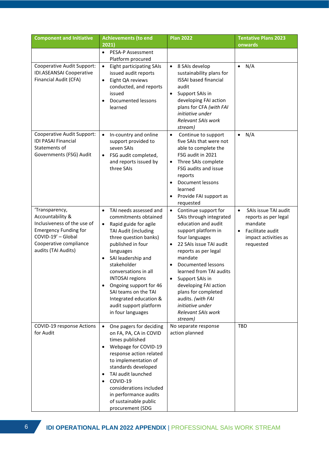| <b>Component and Initiative</b>                                                                                                                                          | <b>Achievements (to end</b>                                                                                                                                                                                                                                                                                                                                                                                         | <b>Plan 2022</b>                                                                                                                                                                                                                                                                                                                                                                                      | <b>Tentative Plans 2023</b>                                                                                                                |
|--------------------------------------------------------------------------------------------------------------------------------------------------------------------------|---------------------------------------------------------------------------------------------------------------------------------------------------------------------------------------------------------------------------------------------------------------------------------------------------------------------------------------------------------------------------------------------------------------------|-------------------------------------------------------------------------------------------------------------------------------------------------------------------------------------------------------------------------------------------------------------------------------------------------------------------------------------------------------------------------------------------------------|--------------------------------------------------------------------------------------------------------------------------------------------|
|                                                                                                                                                                          | 2021)                                                                                                                                                                                                                                                                                                                                                                                                               |                                                                                                                                                                                                                                                                                                                                                                                                       | onwards                                                                                                                                    |
|                                                                                                                                                                          | <b>PESA-P Assessment</b><br>$\bullet$<br>Platform procured                                                                                                                                                                                                                                                                                                                                                          |                                                                                                                                                                                                                                                                                                                                                                                                       |                                                                                                                                            |
| Cooperative Audit Support:<br><b>IDI.ASEANSAI Cooperative</b><br>Financial Audit (CFA)                                                                                   | $\bullet$<br><b>Eight participating SAIs</b><br>issued audit reports<br>Eight QA reviews<br>$\bullet$<br>conducted, and reports<br>issued<br><b>Documented lessons</b><br>learned                                                                                                                                                                                                                                   | 8 SAIs develop<br>$\bullet$<br>sustainability plans for<br><b>ISSAI based financial</b><br>audit<br>Support SAIs in<br>$\bullet$<br>developing FAI action<br>plans for CFA (with FAI<br>initiative under<br><b>Relevant SAIs work</b><br>stream)                                                                                                                                                      | $\bullet$ N/A                                                                                                                              |
| Cooperative Audit Support:<br><b>IDI PASAI Financial</b><br>Statements of<br>Governments (FSG) Audit                                                                     | In-country and online<br>$\bullet$<br>support provided to<br>seven SAIs<br>FSG audit completed,<br>$\bullet$<br>and reports issued by<br>three SAIs                                                                                                                                                                                                                                                                 | Continue to support<br>$\bullet$<br>five SAIs that were not<br>able to complete the<br>FSG audit in 2021<br>Three SAIs complete<br>FSG audits and issue<br>reports<br>Document lessons<br>learned<br>Provide FAI support as<br>requested                                                                                                                                                              | N/A<br>$\bullet$                                                                                                                           |
| 'Transparency,<br>Accountability &<br>Inclusiveness of the use of<br><b>Emergency Funding for</b><br>COVID-19' - Global<br>Cooperative compliance<br>audits (TAI Audits) | TAI needs assessed and<br>$\bullet$<br>commitments obtained<br>Rapid guide for agile<br>$\bullet$<br>TAI Audit (including<br>three question banks)<br>published in four<br>languages<br>SAI leadership and<br>$\bullet$<br>stakeholder<br>conversations in all<br><b>INTOSAI</b> regions<br>Ongoing support for 46<br>SAI teams on the TAI<br>Integrated education &<br>audit support platform<br>in four languages | Continue support for<br>$\bullet$<br>SAIs through integrated<br>education and audit<br>support platform in<br>four languages<br>22 SAIs issue TAI audit<br>$\bullet$<br>reports as per legal<br>mandate<br>Documented lessons<br>learned from TAI audits<br>Support SAIs in<br>developing FAI action<br>plans for completed<br>audits. (with FAI<br>initiative under<br>Relevant SAIs work<br>stream) | SAIs issue TAI audit<br>$\bullet$<br>reports as per legal<br>mandate<br>Facilitate audit<br>$\bullet$<br>impact activities as<br>requested |
| COVID-19 response Actions<br>for Audit                                                                                                                                   | One pagers for deciding<br>$\bullet$<br>on FA, PA, CA in COVID<br>times published<br>Webpage for COVID-19<br>٠<br>response action related<br>to implementation of<br>standards developed<br>TAI audit launched<br>٠<br>COVID-19<br>considerations included<br>in performance audits<br>of sustainable public<br>procurement (SDG                                                                                    | No separate response<br>action planned                                                                                                                                                                                                                                                                                                                                                                | <b>TBD</b>                                                                                                                                 |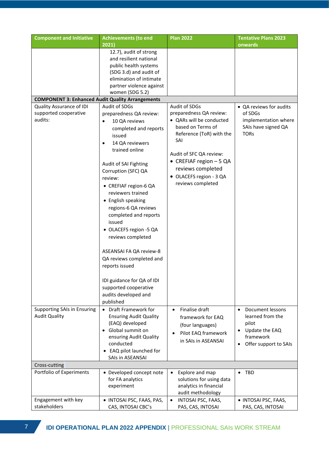| <b>Component and Initiative</b>                                                                                     | <b>Achievements (to end</b><br>2021)                                                                                                                                                                                                                                                                                                                                                                                                                                                                                                                                                                                                                                         | <b>Plan 2022</b>                                                                                                                                                                                                                                                                                                                                       | <b>Tentative Plans 2023</b><br>onwards                                                                                                                              |
|---------------------------------------------------------------------------------------------------------------------|------------------------------------------------------------------------------------------------------------------------------------------------------------------------------------------------------------------------------------------------------------------------------------------------------------------------------------------------------------------------------------------------------------------------------------------------------------------------------------------------------------------------------------------------------------------------------------------------------------------------------------------------------------------------------|--------------------------------------------------------------------------------------------------------------------------------------------------------------------------------------------------------------------------------------------------------------------------------------------------------------------------------------------------------|---------------------------------------------------------------------------------------------------------------------------------------------------------------------|
|                                                                                                                     | 12.7), audit of strong<br>and resilient national<br>public health systems<br>(SDG 3.d) and audit of<br>elimination of intimate<br>partner violence against<br>women (SDG 5.2)                                                                                                                                                                                                                                                                                                                                                                                                                                                                                                |                                                                                                                                                                                                                                                                                                                                                        |                                                                                                                                                                     |
| <b>COMPONENT 3: Enhanced Audit Quality Arrangements</b>                                                             |                                                                                                                                                                                                                                                                                                                                                                                                                                                                                                                                                                                                                                                                              |                                                                                                                                                                                                                                                                                                                                                        |                                                                                                                                                                     |
| Quality Assurance of IDI<br>supported cooperative<br>audits:<br>Supporting SAIs in Ensuring<br><b>Audit Quality</b> | Audit of SDGs<br>preparedness QA review:<br>10 QA reviews<br>$\bullet$<br>completed and reports<br>issued<br>14 QA reviewers<br>$\bullet$<br>trained online<br>Audit of SAI Fighting<br>Corruption (SFC) QA<br>review:<br>• CREFIAF region-6 QA<br>reviewers trained<br>• English speaking<br>regions-6 QA reviews<br>completed and reports<br>issued<br>• OLACEFS region -5 QA<br>reviews completed<br>ASEANSAI FA QA review-8<br>QA reviews completed and<br>reports issued<br>IDI guidance for QA of IDI<br>supported cooperative<br>audits developed and<br>published<br>• Draft Framework for<br><b>Ensuring Audit Quality</b><br>(EAQ) developed<br>• Global summit on | Audit of SDGs<br>preparedness QA review:<br>• QARs will be conducted<br>based on Terms of<br>Reference (ToR) with the<br>SAI<br>Audit of SFC QA review:<br>• CREFIAF region - 5 QA<br>reviews completed<br>• OLACEFS region - 3 QA<br>reviews completed<br>Finalise draft<br>$\bullet$<br>framework for EAQ<br>(four languages)<br>Pilot EAQ framework | • QA reviews for audits<br>of SDGs<br>implementation where<br>SAIs have signed QA<br><b>TORs</b><br>Document lessons<br>learned from the<br>pilot<br>Update the EAQ |
|                                                                                                                     | ensuring Audit Quality<br>conducted<br>EAQ pilot launched for<br>$\bullet$                                                                                                                                                                                                                                                                                                                                                                                                                                                                                                                                                                                                   | in SAIs in ASEANSAI                                                                                                                                                                                                                                                                                                                                    | framework<br>Offer support to SAIs                                                                                                                                  |
|                                                                                                                     | SAIs in ASEANSAI                                                                                                                                                                                                                                                                                                                                                                                                                                                                                                                                                                                                                                                             |                                                                                                                                                                                                                                                                                                                                                        |                                                                                                                                                                     |
| Cross-cutting                                                                                                       |                                                                                                                                                                                                                                                                                                                                                                                                                                                                                                                                                                                                                                                                              |                                                                                                                                                                                                                                                                                                                                                        |                                                                                                                                                                     |
| Portfolio of Experiments                                                                                            | • Developed concept note<br>for FA analytics<br>experiment                                                                                                                                                                                                                                                                                                                                                                                                                                                                                                                                                                                                                   | Explore and map<br>$\bullet$<br>solutions for using data<br>analytics in financial<br>audit methodology                                                                                                                                                                                                                                                | <b>TBD</b><br>$\bullet$                                                                                                                                             |
| Engagement with key<br>stakeholders                                                                                 | · INTOSAI PSC, FAAS, PAS,<br>CAS, INTOSAI CBC's                                                                                                                                                                                                                                                                                                                                                                                                                                                                                                                                                                                                                              | INTOSAI PSC, FAAS,<br>$\bullet$<br>PAS, CAS, INTOSAI                                                                                                                                                                                                                                                                                                   | · INTOSAI PSC, FAAS,<br>PAS, CAS, INTOSAI                                                                                                                           |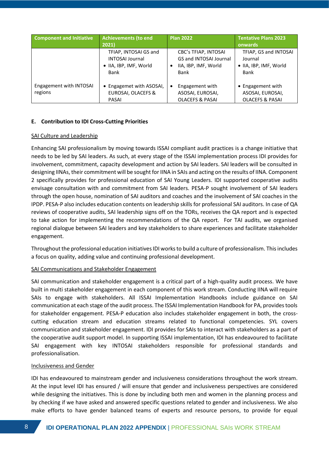| <b>Component and Initiative</b>    | <b>Achievements (to end</b>                                                       | <b>Plan 2022</b>                                                                                  | <b>Tentative Plans 2023</b>                                         |
|------------------------------------|-----------------------------------------------------------------------------------|---------------------------------------------------------------------------------------------------|---------------------------------------------------------------------|
|                                    | 2021)                                                                             |                                                                                                   | onwards                                                             |
|                                    | TFIAP, INTOSAI GS and<br><b>INTOSAI Journal</b><br>• IIA, IBP, IMF, World<br>Bank | <b>CBC's TFIAP, INTOSAI</b><br><b>GS and INTOSAI Journal</b><br>IIA, IBP, IMF, World<br>٠<br>Bank | TFIAP, GS and INTOSAI<br>Journal<br>• IIA, IBP, IMF, World<br>Bank  |
| Engagement with INTOSAI<br>regions | • Engagemet with ASOSAI,<br><b>EUROSAI, OLACEFS &amp;</b><br>PASAI                | Engagement with<br>$\bullet$<br>ASOSAI, EUROSAI,<br><b>OLACEFS &amp; PASAI</b>                    | • Engagement with<br>ASOSAI, EUROSAI,<br><b>OLACEFS &amp; PASAI</b> |

## **E. Contribution to IDI Cross-Cutting Priorities**

### SAI Culture and Leadership

Enhancing SAI professionalism by moving towards ISSAI compliant audit practices is a change initiative that needs to be led by SAI leaders. As such, at every stage of the ISSAI implementation process IDI provides for involvement, commitment, capacity development and action by SAI leaders. SAI leaders will be consulted in designing IINAs, their commitment will be sought for IINA in SAIs and acting on the results of IINA. Component 2 specifically provides for professional education of SAI Young Leaders. IDI supported cooperative audits envisage consultation with and commitment from SAI leaders. PESA-P sought involvement of SAI leaders through the open house, nomination of SAI auditors and coaches and the involvement of SAI coaches in the IPDP. PESA-P also includes education contents on leadership skills for professional SAI auditors. In case of QA reviews of cooperative audits, SAI leadership signs off on the TORs, receives the QA report and is expected to take action for implementing the recommendations of the QA report. For TAI audits, we organised regional dialogue between SAI leaders and key stakeholders to share experiences and facilitate stakeholder engagement.

Throughout the professional education initiatives IDI works to build a culture of professionalism. This includes a focus on quality, adding value and continuing professional development.

### SAI Communications and Stakeholder Engagement

SAI communication and stakeholder engagement is a critical part of a high-quality audit process. We have built in multi stakeholder engagement in each component of this work stream. Conducting IINA will require SAIs to engage with stakeholders. All ISSAI Implementation Handbooks include guidance on SAI communication at each stage of the audit process. The ISSAI Implementation Handbook for PA, provides tools for stakeholder engagement. PESA-P education also includes stakeholder engagement in both, the crosscutting education stream and education streams related to functional competencies. SYL covers communication and stakeholder engagement. IDI provides for SAIs to interact with stakeholders as a part of the cooperative audit support model. In supporting ISSAI implementation, IDI has endeavoured to facilitate SAI engagement with key INTOSAI stakeholders responsible for professional standards and professionalisation.

### Inclusiveness and Gender

IDI has endeavoured to mainstream gender and inclusiveness considerations throughout the work stream. At the input level IDI has ensured / will ensure that gender and inclusiveness perspectives are considered while designing the initiatives. This is done by including both men and women in the planning process and by checking if we have asked and answered specific questions related to gender and inclusiveness. We also make efforts to have gender balanced teams of experts and resource persons, to provide for equal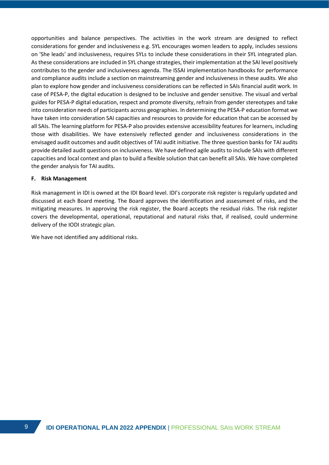opportunities and balance perspectives. The activities in the work stream are designed to reflect considerations for gender and inclusiveness e.g. SYL encourages women leaders to apply, includes sessions on 'She leads' and inclusiveness, requires SYLs to include these considerations in their SYL integrated plan. As these considerations are included in SYL change strategies, their implementation at the SAI level positively contributes to the gender and inclusiveness agenda. The ISSAI implementation handbooks for performance and compliance audits include a section on mainstreaming gender and inclusiveness in these audits. We also plan to explore how gender and inclusiveness considerations can be reflected in SAIs financial audit work. In case of PESA-P, the digital education is designed to be inclusive and gender sensitive. The visual and verbal guides for PESA-P digital education, respect and promote diversity, refrain from gender stereotypes and take into consideration needs of participants across geographies. In determining the PESA-P education format we have taken into consideration SAI capacities and resources to provide for education that can be accessed by all SAIs. The learning platform for PESA-P also provides extensive accessibility features for learners, including those with disabilities. We have extensively reflected gender and inclusiveness considerations in the envisaged audit outcomes and audit objectives of TAI audit initiative. The three question banks for TAI audits provide detailed audit questions on inclusiveness. We have defined agile audits to include SAIs with different capacities and local context and plan to build a flexible solution that can benefit all SAIs. We have completed the gender analysis for TAI audits.

#### **F. Risk Management**

Risk management in IDI is owned at the IDI Board level. IDI's corporate risk register is regularly updated and discussed at each Board meeting. The Board approves the identification and assessment of risks, and the mitigating measures. In approving the risk register, the Board accepts the residual risks. The risk register covers the developmental, operational, reputational and natural risks that, if realised, could undermine delivery of the IODI strategic plan.

We have not identified any additional risks.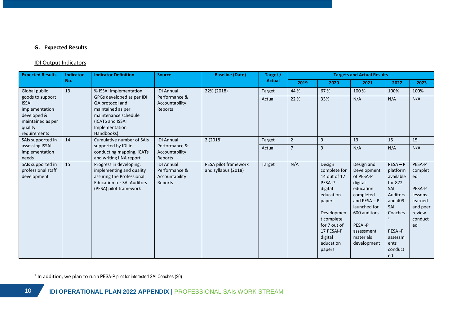# **G. Expected Results**

## IDI Output Indicators

| <b>Expected Results</b>                                                                                           | <b>Indicator</b> | <b>Indicator Definition</b>                                                                                                                     | <b>Source</b>                                                   | <b>Baseline (Date)</b>                      | Target /      |                |                                                                                                                                                                                | <b>Targets and Actual Results</b>                                                                                                                                                 |                                                                                                                                                                |                                                                                                |
|-------------------------------------------------------------------------------------------------------------------|------------------|-------------------------------------------------------------------------------------------------------------------------------------------------|-----------------------------------------------------------------|---------------------------------------------|---------------|----------------|--------------------------------------------------------------------------------------------------------------------------------------------------------------------------------|-----------------------------------------------------------------------------------------------------------------------------------------------------------------------------------|----------------------------------------------------------------------------------------------------------------------------------------------------------------|------------------------------------------------------------------------------------------------|
|                                                                                                                   | No.              |                                                                                                                                                 |                                                                 |                                             | <b>Actual</b> | 2019           | 2020                                                                                                                                                                           | 2021                                                                                                                                                                              | 2022                                                                                                                                                           | 2023                                                                                           |
| Global public                                                                                                     | 13               | % ISSAI Implementation                                                                                                                          | <b>IDI Annual</b>                                               | 22% (2018)                                  | Target        | 44 %           | 67 %                                                                                                                                                                           | 100 %                                                                                                                                                                             | 100%                                                                                                                                                           | 100%                                                                                           |
| goods to support<br><b>ISSAI</b><br>implementation<br>developed &<br>maintained as per<br>quality<br>requirements |                  | GPGs developed as per IDI<br>QA protocol and<br>maintained as per<br>maintenance schedule<br>(iCATS and ISSAI<br>Implementation<br>Handbooks)   | Performance &<br>Accountability<br>Reports                      |                                             | Actual        | 22 %           | 33%                                                                                                                                                                            | N/A                                                                                                                                                                               | N/A                                                                                                                                                            | N/A                                                                                            |
| SAIs supported in                                                                                                 | 14               | Cumulative number of SAIs                                                                                                                       | <b>IDI Annual</b>                                               | 2(2018)                                     | Target        | $\overline{2}$ | 9                                                                                                                                                                              | 13                                                                                                                                                                                | 15                                                                                                                                                             | 15                                                                                             |
| assessing ISSAI<br>implementation<br>needs                                                                        |                  | supported by IDI in<br>conducting mapping, iCATs<br>and writing IINA report                                                                     | Performance &<br>Accountability<br>Reports                      |                                             | Actual        | $\overline{7}$ | 9                                                                                                                                                                              | N/A                                                                                                                                                                               | N/A                                                                                                                                                            | N/A                                                                                            |
| SAIs supported in<br>professional staff<br>development                                                            | 15               | Progress in developing,<br>implementing and quality<br>assuring the Professional<br><b>Education for SAI Auditors</b><br>(PESA) pilot framework | <b>IDI Annual</b><br>Performance &<br>Accountability<br>Reports | PESA pilot framework<br>and syllabus (2018) | Target        | N/A            | Design<br>complete for<br>14 out of 17<br>PESA-P<br>digital<br>education<br>papers<br>Developmen<br>t complete<br>for 7 out of<br>17 PESAI-P<br>digital<br>education<br>papers | Design and<br>Development<br>of PESA-P<br>digital<br>education<br>completed<br>and $PESA - P$<br>launched for<br>600 auditors<br>PESA-P<br>assessment<br>materials<br>development | $PESA - P$<br>platform<br>available<br>for 872<br>SAI<br>Auditors<br>and 409<br>SAI<br>Coaches<br>$\overline{2}$<br>PESA-P<br>assessm<br>ents<br>conduct<br>ed | PESA-P<br>complet<br>ed<br>PESA-P<br>lessons<br>learned<br>and peer<br>review<br>conduct<br>ed |

<sup>2</sup> In addition, we plan to run a PESA-P pilot for interested SAI Coaches (20)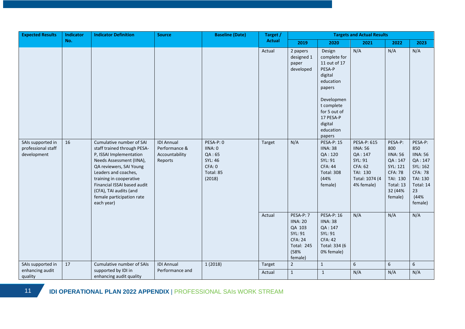| No.<br><b>Actual</b><br>2019<br>2021<br>2022<br>2020<br>N/A<br>N/A<br>Actual<br>Design<br>2 papers<br>designed 1<br>complete for<br>11 out of 17<br>paper<br>developed<br>PESA-P<br>digital<br>education<br>papers<br>Developmen<br>t complete<br>for 5 out of<br>17 PESA-P<br>digital<br>education<br>papers<br>PESA-P: 0<br>N/A<br>SAIs supported in<br>16<br>Cumulative number of SAI<br><b>IDI Annual</b><br><b>PESA-P: 15</b><br>PESA-P: 615<br>PESA-P:<br>Target<br>staff trained through PESA-<br>Performance &<br>800<br>professional staff<br>IINA:0<br><b>IINA: 38</b><br><b>IINA: 56</b><br>development<br>P, ISSAI Implementation<br>Accountability<br>QA:65<br>QA:120<br>QA: 147<br><b>IINA: 56</b><br>Needs Assessment (IINA),<br>SYL: 46<br>SYL: 91<br>SYL: 91<br>QA: 147<br>Reports<br>CFA: 0<br><b>CFA: 62</b><br><b>CFA: 44</b><br>SYL: 121<br>QA reviewers, SAI Young<br>Leaders and coaches,<br>Total: 85<br><b>Total: 308</b><br>TAI: 130<br><b>CFA: 78</b><br>(44%<br>training in cooperative<br>(2018)<br>Total: 1074 (4<br>TAI: 130<br>Financial ISSAI based audit<br>4% female)<br>Total: 13<br>female)<br>(CFA), TAI audits (and<br>32 (44%<br>23<br>female participation rate<br>female) | <b>Expected Results</b> | Indicator | <b>Indicator Definition</b> | <b>Source</b> | <b>Baseline (Date)</b> | Target / |  | <b>Targets and Actual Results</b> |                                                                                                                               |
|---------------------------------------------------------------------------------------------------------------------------------------------------------------------------------------------------------------------------------------------------------------------------------------------------------------------------------------------------------------------------------------------------------------------------------------------------------------------------------------------------------------------------------------------------------------------------------------------------------------------------------------------------------------------------------------------------------------------------------------------------------------------------------------------------------------------------------------------------------------------------------------------------------------------------------------------------------------------------------------------------------------------------------------------------------------------------------------------------------------------------------------------------------------------------------------------------------------------|-------------------------|-----------|-----------------------------|---------------|------------------------|----------|--|-----------------------------------|-------------------------------------------------------------------------------------------------------------------------------|
|                                                                                                                                                                                                                                                                                                                                                                                                                                                                                                                                                                                                                                                                                                                                                                                                                                                                                                                                                                                                                                                                                                                                                                                                                     |                         |           |                             |               |                        |          |  |                                   | 2023                                                                                                                          |
|                                                                                                                                                                                                                                                                                                                                                                                                                                                                                                                                                                                                                                                                                                                                                                                                                                                                                                                                                                                                                                                                                                                                                                                                                     |                         |           |                             |               |                        |          |  |                                   | N/A                                                                                                                           |
| each year)                                                                                                                                                                                                                                                                                                                                                                                                                                                                                                                                                                                                                                                                                                                                                                                                                                                                                                                                                                                                                                                                                                                                                                                                          |                         |           |                             |               |                        |          |  |                                   | PESA-P:<br>850<br><b>IINA: 56</b><br>QA: 147<br>SYL: 162<br><b>CFA: 78</b><br><b>TAI: 130</b><br>Total: 14<br>(44%<br>female) |
| N/A<br>N/A<br>Actual<br>PESA-P: 7<br><b>PESA-P: 16</b><br><b>IINA: 20</b><br><b>IINA: 38</b><br>QA 103<br>QA: 147<br>SYL: 91<br>SYL: 91<br><b>CFA: 24</b><br><b>CFA: 42</b><br><b>Total: 245</b><br>Total: 334 (6<br>(58%<br>0% female)<br>female)                                                                                                                                                                                                                                                                                                                                                                                                                                                                                                                                                                                                                                                                                                                                                                                                                                                                                                                                                                  |                         |           |                             |               |                        |          |  |                                   | N/A                                                                                                                           |
| $6\phantom{a}$<br>$6\,$<br>6<br>SAIs supported in<br>17<br>Cumulative number of SAIs<br><b>IDI Annual</b><br>$\overline{2}$<br>1(2018)<br>$\mathbf{1}$<br>Target<br>supported by IDI in<br>enhancing audit<br>Performance and<br>N/A<br>N/A<br>$\mathbf{1}$<br>$\mathbf{1}$<br>Actual<br>quality<br>enhancing audit quality                                                                                                                                                                                                                                                                                                                                                                                                                                                                                                                                                                                                                                                                                                                                                                                                                                                                                         |                         |           |                             |               |                        |          |  |                                   | N/A                                                                                                                           |

11 **IDI OPERATIONAL PLAN 2022 APPENDIX** | PROFESSIONAL SAIs WORK STREAM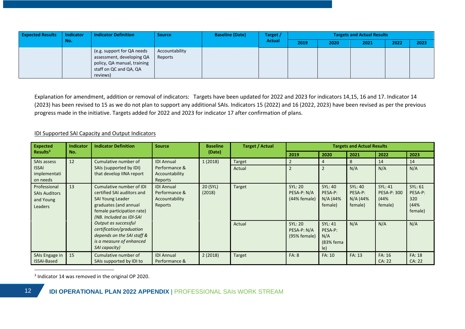| <b>Expected Results</b> | <b>Indicator</b> | <b>Indicator Definition</b>                                                                                                  | <b>Source</b>             | <b>Baseline (Date)</b> | Target /      |      | <b>Targets and Actual Results</b> |      |      |      |
|-------------------------|------------------|------------------------------------------------------------------------------------------------------------------------------|---------------------------|------------------------|---------------|------|-----------------------------------|------|------|------|
|                         | No.              |                                                                                                                              |                           |                        | <b>Actual</b> | 2019 | 2020                              | 2021 | 2022 | 2023 |
|                         |                  | (e.g. support for QA needs<br>assessment, developing QA<br>policy, QA manual, training<br>staff on QC and QA, QA<br>reviews) | Accountability<br>Reports |                        |               |      |                                   |      |      |      |

Explanation for amendment, addition or removal of indicators: Targets have been updated for 2022 and 2023 for indicators 14,15, 16 and 17. Indicator 14 (2023) has been revised to 15 as we do not plan to support any additional SAIs. Indicators 15 (2022) and 16 (2022, 2023) have been revised as per the previous progress made in the initiative. Targets added for 2022 and 2023 for indicator 17 after confirmation of plans.

### IDI Supported SAI Capacity and Output Indicators

| <b>Expected</b>                                              | Indicator<br><b>Indicator Definition</b>                                                                                                                                                                                                                                                                                                                                     |                                                     |                                            | <b>Baseline</b><br><b>Source</b>              | <b>Target / Actual</b>                           | <b>Targets and Actual Results</b>                |                                                         |                                              |                  |                                |
|--------------------------------------------------------------|------------------------------------------------------------------------------------------------------------------------------------------------------------------------------------------------------------------------------------------------------------------------------------------------------------------------------------------------------------------------------|-----------------------------------------------------|--------------------------------------------|-----------------------------------------------|--------------------------------------------------|--------------------------------------------------|---------------------------------------------------------|----------------------------------------------|------------------|--------------------------------|
| Results <sup>3</sup>                                         | No.                                                                                                                                                                                                                                                                                                                                                                          |                                                     |                                            | (Date)                                        |                                                  | 2019                                             | 2020                                                    | 2021                                         | 2022             | 2023                           |
| SAIs assess                                                  | 12                                                                                                                                                                                                                                                                                                                                                                           | Cumulative number of                                | <b>IDI Annual</b>                          | 1(2018)                                       | <b>Target</b>                                    |                                                  | 4                                                       | 8                                            | 14               | 14                             |
| <b>ISSAI</b><br>implementati<br>on needs                     |                                                                                                                                                                                                                                                                                                                                                                              | SAIs (supported by IDI)<br>that develop IINA report | Performance &<br>Accountability<br>Reports |                                               | Actual                                           |                                                  |                                                         | N/A                                          | N/A              | N/A                            |
| Professional<br><b>SAIs Auditors</b><br>and Young<br>Leaders | 13<br>Cumulative number of IDI<br><b>IDI Annual</b><br>Performance &<br>certified SAI auditors and<br><b>SAI Young Leader</b><br>Accountability<br>graduates (and annual<br>Reports<br>female participation rate)<br>(NB. Included as IDI-SAI<br>Output as successful<br>certification/graduation<br>depends on the SAI staff &<br>is a measure of enhanced<br>SAI capacity) | 20 (SYL)<br>(2018)                                  | <b>Target</b>                              | <b>SYL: 20</b><br>PESA-P: N/A<br>(44% female) | <b>SYL: 40</b><br>PESA-P:<br>N/A (44%<br>female) | <b>SYL: 40</b><br>PESA-P:<br>N/A (44%<br>female) | <b>SYL: 41</b><br><b>PESA-P: 300</b><br>(44%<br>female) | SYL: 61<br>PESA-P:<br>320<br>(44%<br>female) |                  |                                |
|                                                              |                                                                                                                                                                                                                                                                                                                                                                              |                                                     |                                            |                                               | Actual                                           | <b>SYL: 20</b><br>PESA-P: N/A<br>(95% female)    | <b>SYL: 41</b><br>PESA-P:<br>N/A<br>(83% fema<br>le)    | N/A                                          | N/A              | N/A                            |
| SAIs Engage in<br><b>ISSAI-Based</b>                         | 15                                                                                                                                                                                                                                                                                                                                                                           | Cumulative number of<br>SAIs supported by IDI to    | <b>IDI Annual</b><br>Performance &         | 2(2018)                                       | Target                                           | <b>FA: 8</b>                                     | FA: 10                                                  | FA: 13                                       | FA: 16<br>CA: 22 | <b>FA: 18</b><br><b>CA: 22</b> |

<sup>3</sup> Indicator 14 was removed in the original OP 2020.